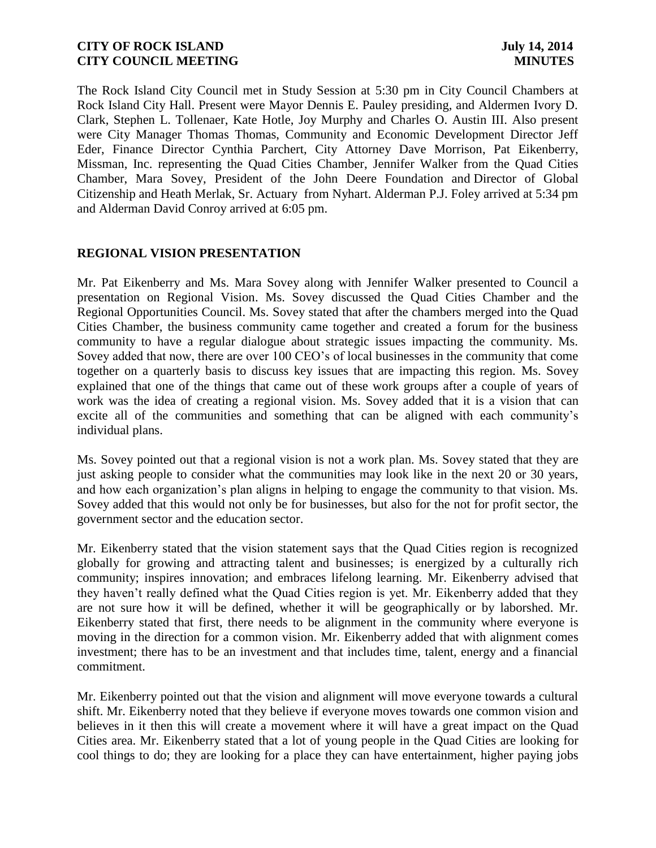The Rock Island City Council met in Study Session at 5:30 pm in City Council Chambers at Rock Island City Hall. Present were Mayor Dennis E. Pauley presiding, and Aldermen Ivory D. Clark, Stephen L. Tollenaer, Kate Hotle, Joy Murphy and Charles O. Austin III. Also present were City Manager Thomas Thomas, Community and Economic Development Director Jeff Eder, Finance Director Cynthia Parchert, City Attorney Dave Morrison, Pat Eikenberry, Missman, Inc. representing the Quad Cities Chamber, Jennifer Walker from the Quad Cities Chamber, Mara Sovey, President of the John Deere Foundation and Director of Global Citizenship and Heath Merlak, Sr. Actuary from Nyhart. Alderman P.J. Foley arrived at 5:34 pm and Alderman David Conroy arrived at 6:05 pm.

### **REGIONAL VISION PRESENTATION**

Mr. Pat Eikenberry and Ms. Mara Sovey along with Jennifer Walker presented to Council a presentation on Regional Vision. Ms. Sovey discussed the Quad Cities Chamber and the Regional Opportunities Council. Ms. Sovey stated that after the chambers merged into the Quad Cities Chamber, the business community came together and created a forum for the business community to have a regular dialogue about strategic issues impacting the community. Ms. Sovey added that now, there are over 100 CEO's of local businesses in the community that come together on a quarterly basis to discuss key issues that are impacting this region. Ms. Sovey explained that one of the things that came out of these work groups after a couple of years of work was the idea of creating a regional vision. Ms. Sovey added that it is a vision that can excite all of the communities and something that can be aligned with each community's individual plans.

Ms. Sovey pointed out that a regional vision is not a work plan. Ms. Sovey stated that they are just asking people to consider what the communities may look like in the next 20 or 30 years, and how each organization's plan aligns in helping to engage the community to that vision. Ms. Sovey added that this would not only be for businesses, but also for the not for profit sector, the government sector and the education sector.

Mr. Eikenberry stated that the vision statement says that the Quad Cities region is recognized globally for growing and attracting talent and businesses; is energized by a culturally rich community; inspires innovation; and embraces lifelong learning. Mr. Eikenberry advised that they haven't really defined what the Quad Cities region is yet. Mr. Eikenberry added that they are not sure how it will be defined, whether it will be geographically or by laborshed. Mr. Eikenberry stated that first, there needs to be alignment in the community where everyone is moving in the direction for a common vision. Mr. Eikenberry added that with alignment comes investment; there has to be an investment and that includes time, talent, energy and a financial commitment.

Mr. Eikenberry pointed out that the vision and alignment will move everyone towards a cultural shift. Mr. Eikenberry noted that they believe if everyone moves towards one common vision and believes in it then this will create a movement where it will have a great impact on the Quad Cities area. Mr. Eikenberry stated that a lot of young people in the Quad Cities are looking for cool things to do; they are looking for a place they can have entertainment, higher paying jobs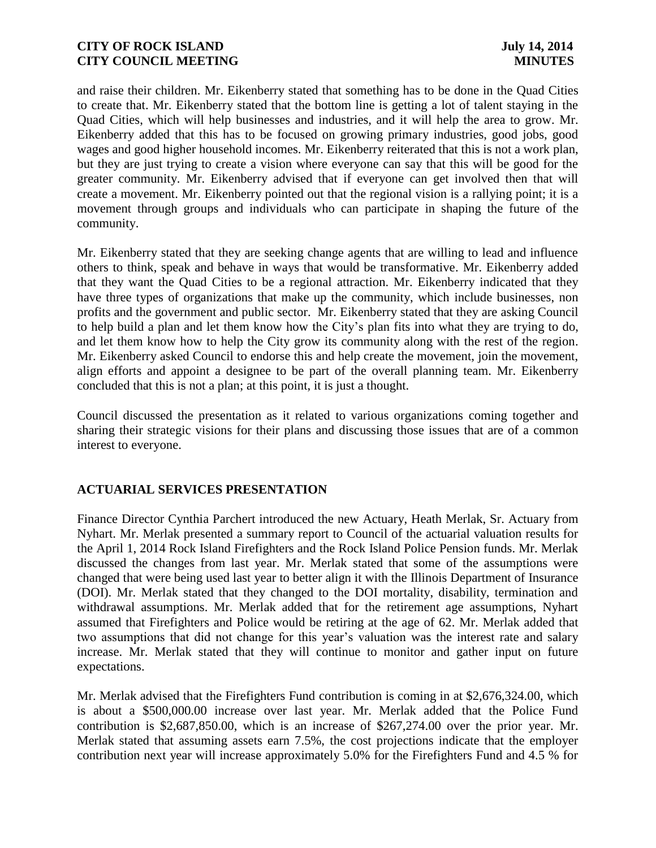and raise their children. Mr. Eikenberry stated that something has to be done in the Quad Cities to create that. Mr. Eikenberry stated that the bottom line is getting a lot of talent staying in the Quad Cities, which will help businesses and industries, and it will help the area to grow. Mr. Eikenberry added that this has to be focused on growing primary industries, good jobs, good wages and good higher household incomes. Mr. Eikenberry reiterated that this is not a work plan, but they are just trying to create a vision where everyone can say that this will be good for the greater community. Mr. Eikenberry advised that if everyone can get involved then that will create a movement. Mr. Eikenberry pointed out that the regional vision is a rallying point; it is a movement through groups and individuals who can participate in shaping the future of the community.

Mr. Eikenberry stated that they are seeking change agents that are willing to lead and influence others to think, speak and behave in ways that would be transformative. Mr. Eikenberry added that they want the Quad Cities to be a regional attraction. Mr. Eikenberry indicated that they have three types of organizations that make up the community, which include businesses, non profits and the government and public sector. Mr. Eikenberry stated that they are asking Council to help build a plan and let them know how the City's plan fits into what they are trying to do, and let them know how to help the City grow its community along with the rest of the region. Mr. Eikenberry asked Council to endorse this and help create the movement, join the movement, align efforts and appoint a designee to be part of the overall planning team. Mr. Eikenberry concluded that this is not a plan; at this point, it is just a thought.

Council discussed the presentation as it related to various organizations coming together and sharing their strategic visions for their plans and discussing those issues that are of a common interest to everyone.

# **ACTUARIAL SERVICES PRESENTATION**

Finance Director Cynthia Parchert introduced the new Actuary, Heath Merlak, Sr. Actuary from Nyhart. Mr. Merlak presented a summary report to Council of the actuarial valuation results for the April 1, 2014 Rock Island Firefighters and the Rock Island Police Pension funds. Mr. Merlak discussed the changes from last year. Mr. Merlak stated that some of the assumptions were changed that were being used last year to better align it with the Illinois Department of Insurance (DOI). Mr. Merlak stated that they changed to the DOI mortality, disability, termination and withdrawal assumptions. Mr. Merlak added that for the retirement age assumptions, Nyhart assumed that Firefighters and Police would be retiring at the age of 62. Mr. Merlak added that two assumptions that did not change for this year's valuation was the interest rate and salary increase. Mr. Merlak stated that they will continue to monitor and gather input on future expectations.

Mr. Merlak advised that the Firefighters Fund contribution is coming in at \$2,676,324.00, which is about a \$500,000.00 increase over last year. Mr. Merlak added that the Police Fund contribution is \$2,687,850.00, which is an increase of \$267,274.00 over the prior year. Mr. Merlak stated that assuming assets earn 7.5%, the cost projections indicate that the employer contribution next year will increase approximately 5.0% for the Firefighters Fund and 4.5 % for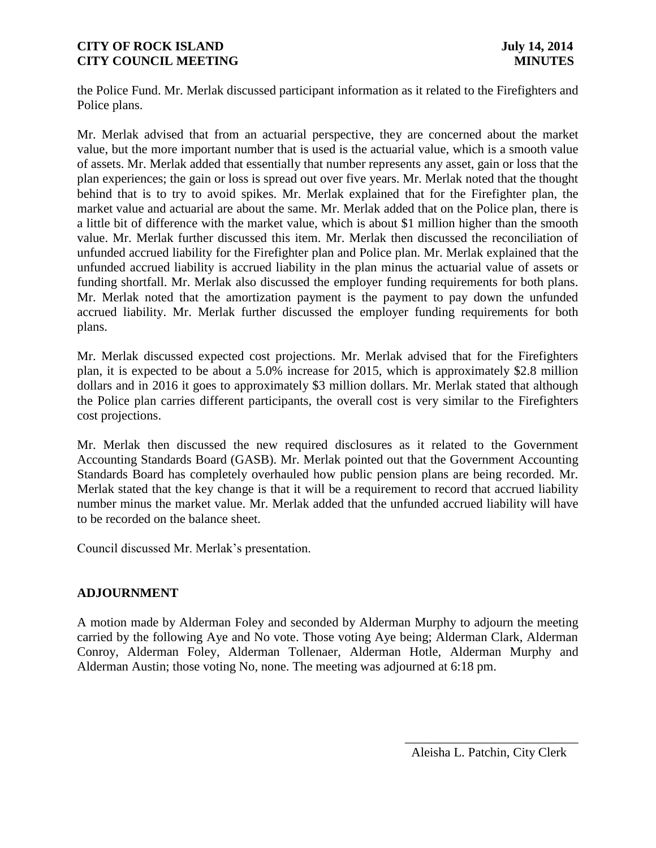the Police Fund. Mr. Merlak discussed participant information as it related to the Firefighters and Police plans.

Mr. Merlak advised that from an actuarial perspective, they are concerned about the market value, but the more important number that is used is the actuarial value, which is a smooth value of assets. Mr. Merlak added that essentially that number represents any asset, gain or loss that the plan experiences; the gain or loss is spread out over five years. Mr. Merlak noted that the thought behind that is to try to avoid spikes. Mr. Merlak explained that for the Firefighter plan, the market value and actuarial are about the same. Mr. Merlak added that on the Police plan, there is a little bit of difference with the market value, which is about \$1 million higher than the smooth value. Mr. Merlak further discussed this item. Mr. Merlak then discussed the reconciliation of unfunded accrued liability for the Firefighter plan and Police plan. Mr. Merlak explained that the unfunded accrued liability is accrued liability in the plan minus the actuarial value of assets or funding shortfall. Mr. Merlak also discussed the employer funding requirements for both plans. Mr. Merlak noted that the amortization payment is the payment to pay down the unfunded accrued liability. Mr. Merlak further discussed the employer funding requirements for both plans.

Mr. Merlak discussed expected cost projections. Mr. Merlak advised that for the Firefighters plan, it is expected to be about a 5.0% increase for 2015, which is approximately \$2.8 million dollars and in 2016 it goes to approximately \$3 million dollars. Mr. Merlak stated that although the Police plan carries different participants, the overall cost is very similar to the Firefighters cost projections.

Mr. Merlak then discussed the new required disclosures as it related to the Government Accounting Standards Board (GASB). Mr. Merlak pointed out that the Government Accounting Standards Board has completely overhauled how public pension plans are being recorded. Mr. Merlak stated that the key change is that it will be a requirement to record that accrued liability number minus the market value. Mr. Merlak added that the unfunded accrued liability will have to be recorded on the balance sheet.

Council discussed Mr. Merlak's presentation.

# **ADJOURNMENT**

A motion made by Alderman Foley and seconded by Alderman Murphy to adjourn the meeting carried by the following Aye and No vote. Those voting Aye being; Alderman Clark, Alderman Conroy, Alderman Foley, Alderman Tollenaer, Alderman Hotle, Alderman Murphy and Alderman Austin; those voting No, none. The meeting was adjourned at 6:18 pm.

 $\frac{1}{2}$  , and the set of the set of the set of the set of the set of the set of the set of the set of the set of the set of the set of the set of the set of the set of the set of the set of the set of the set of the set

Aleisha L. Patchin, City Clerk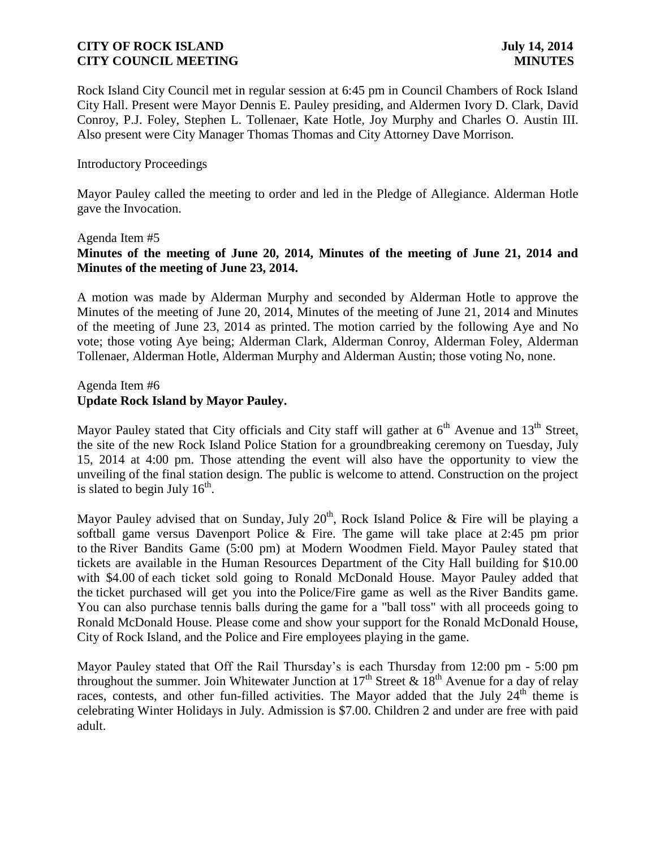Rock Island City Council met in regular session at 6:45 pm in Council Chambers of Rock Island City Hall. Present were Mayor Dennis E. Pauley presiding, and Aldermen Ivory D. Clark, David Conroy, P.J. Foley, Stephen L. Tollenaer, Kate Hotle, Joy Murphy and Charles O. Austin III. Also present were City Manager Thomas Thomas and City Attorney Dave Morrison.

### Introductory Proceedings

Mayor Pauley called the meeting to order and led in the Pledge of Allegiance. Alderman Hotle gave the Invocation.

#### Agenda Item #5

# **Minutes of the meeting of June 20, 2014, Minutes of the meeting of June 21, 2014 and Minutes of the meeting of June 23, 2014.**

A motion was made by Alderman Murphy and seconded by Alderman Hotle to approve the Minutes of the meeting of June 20, 2014, Minutes of the meeting of June 21, 2014 and Minutes of the meeting of June 23, 2014 as printed. The motion carried by the following Aye and No vote; those voting Aye being; Alderman Clark, Alderman Conroy, Alderman Foley, Alderman Tollenaer, Alderman Hotle, Alderman Murphy and Alderman Austin; those voting No, none.

### Agenda Item #6 **Update Rock Island by Mayor Pauley.**

Mayor Pauley stated that City officials and City staff will gather at  $6<sup>th</sup>$  Avenue and  $13<sup>th</sup>$  Street, the site of the new Rock Island Police Station for a groundbreaking ceremony on Tuesday, July 15, 2014 at 4:00 pm. Those attending the event will also have the opportunity to view the unveiling of the final station design. The public is welcome to attend. Construction on the project is slated to begin July  $16<sup>th</sup>$ .

Mayor Pauley advised that on Sunday, July 20<sup>th</sup>, Rock Island Police & Fire will be playing a softball game versus Davenport Police & Fire. The game will take place at 2:45 pm prior to the River Bandits Game (5:00 pm) at Modern Woodmen Field. Mayor Pauley stated that tickets are available in the Human Resources Department of the City Hall building for \$10.00 with \$4.00 of each ticket sold going to Ronald McDonald House. Mayor Pauley added that the ticket purchased will get you into the Police/Fire game as well as the River Bandits game. You can also purchase tennis balls during the game for a "ball toss" with all proceeds going to Ronald McDonald House. Please come and show your support for the Ronald McDonald House, City of Rock Island, and the Police and Fire employees playing in the game.

Mayor Pauley stated that Off the Rail Thursday's is each Thursday from 12:00 pm - 5:00 pm throughout the summer. Join Whitewater Junction at  $17<sup>th</sup>$  Street &  $18<sup>th</sup>$  Avenue for a day of relay races, contests, and other fun-filled activities. The Mayor added that the July  $24<sup>th</sup>$  theme is celebrating Winter Holidays in July. Admission is \$7.00. Children 2 and under are free with paid adult.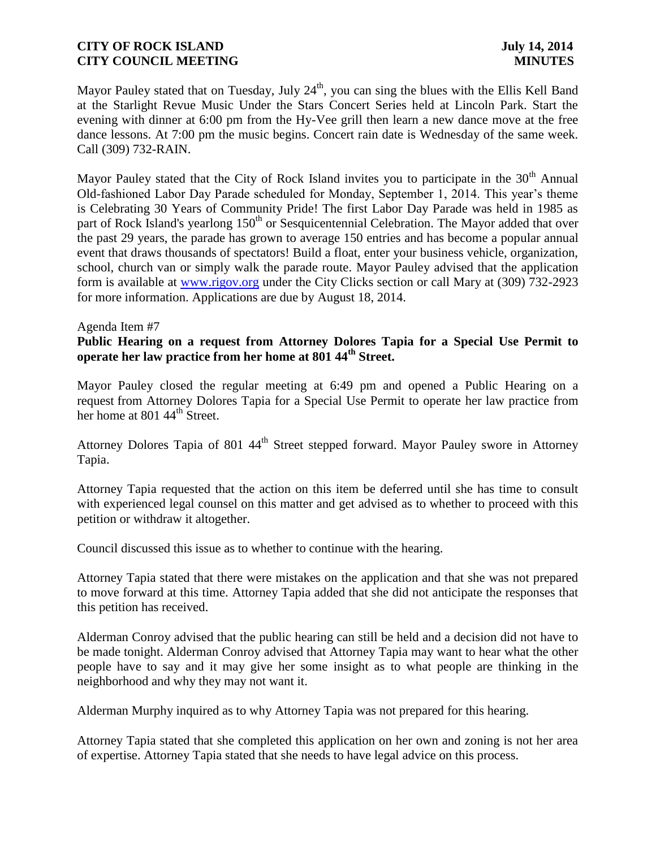Mayor Pauley stated that on Tuesday, July 24<sup>th</sup>, you can sing the blues with the Ellis Kell Band at the Starlight Revue Music Under the Stars Concert Series held at Lincoln Park. Start the evening with dinner at 6:00 pm from the Hy-Vee grill then learn a new dance move at the free dance lessons. At 7:00 pm the music begins. Concert rain date is Wednesday of the same week. Call (309) 732-RAIN.

Mayor Pauley stated that the City of Rock Island invites you to participate in the  $30<sup>th</sup>$  Annual Old-fashioned Labor Day Parade scheduled for Monday, September 1, 2014. This year's theme is Celebrating 30 Years of Community Pride! The first Labor Day Parade was held in 1985 as part of Rock Island's yearlong 150<sup>th</sup> or Sesquicentennial Celebration. The Mayor added that over the past 29 years, the parade has grown to average 150 entries and has become a popular annual event that draws thousands of spectators! Build a float, enter your business vehicle, organization, school, church van or simply walk the parade route. Mayor Pauley advised that the application form is available at [www.rigov.org](http://www.rigov.org/) under the City Clicks section or call Mary at (309) 732-2923 for more information. Applications are due by August 18, 2014.

#### Agenda Item #7

### **Public Hearing on a request from Attorney Dolores Tapia for a Special Use Permit to operate her law practice from her home at 801 44th Street.**

Mayor Pauley closed the regular meeting at 6:49 pm and opened a Public Hearing on a request from Attorney Dolores Tapia for a Special Use Permit to operate her law practice from her home at 801 44<sup>th</sup> Street.

Attorney Dolores Tapia of 801  $44<sup>th</sup>$  Street stepped forward. Mayor Pauley swore in Attorney Tapia.

Attorney Tapia requested that the action on this item be deferred until she has time to consult with experienced legal counsel on this matter and get advised as to whether to proceed with this petition or withdraw it altogether.

Council discussed this issue as to whether to continue with the hearing.

Attorney Tapia stated that there were mistakes on the application and that she was not prepared to move forward at this time. Attorney Tapia added that she did not anticipate the responses that this petition has received.

Alderman Conroy advised that the public hearing can still be held and a decision did not have to be made tonight. Alderman Conroy advised that Attorney Tapia may want to hear what the other people have to say and it may give her some insight as to what people are thinking in the neighborhood and why they may not want it.

Alderman Murphy inquired as to why Attorney Tapia was not prepared for this hearing.

Attorney Tapia stated that she completed this application on her own and zoning is not her area of expertise. Attorney Tapia stated that she needs to have legal advice on this process.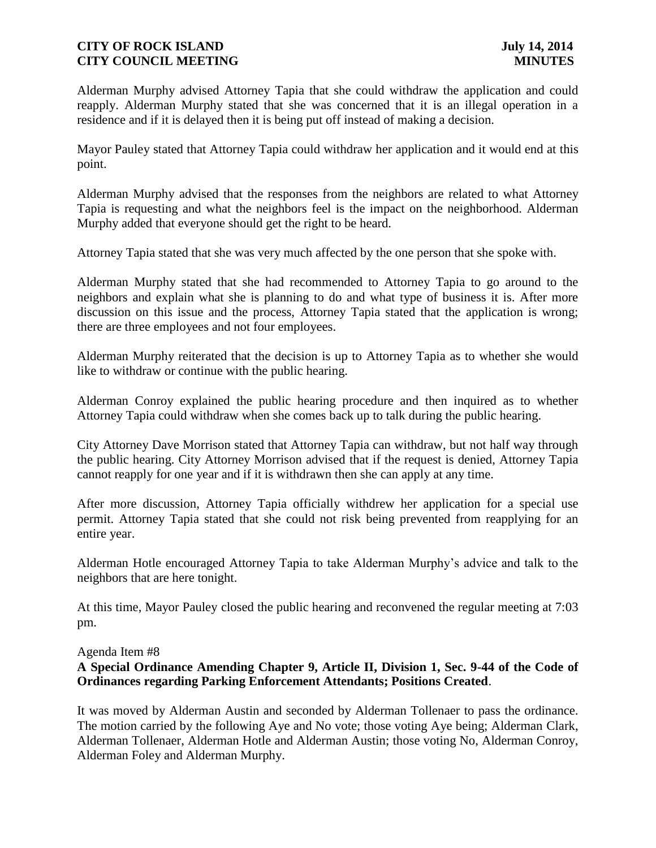Alderman Murphy advised Attorney Tapia that she could withdraw the application and could reapply. Alderman Murphy stated that she was concerned that it is an illegal operation in a residence and if it is delayed then it is being put off instead of making a decision.

Mayor Pauley stated that Attorney Tapia could withdraw her application and it would end at this point.

Alderman Murphy advised that the responses from the neighbors are related to what Attorney Tapia is requesting and what the neighbors feel is the impact on the neighborhood. Alderman Murphy added that everyone should get the right to be heard.

Attorney Tapia stated that she was very much affected by the one person that she spoke with.

Alderman Murphy stated that she had recommended to Attorney Tapia to go around to the neighbors and explain what she is planning to do and what type of business it is. After more discussion on this issue and the process, Attorney Tapia stated that the application is wrong; there are three employees and not four employees.

Alderman Murphy reiterated that the decision is up to Attorney Tapia as to whether she would like to withdraw or continue with the public hearing.

Alderman Conroy explained the public hearing procedure and then inquired as to whether Attorney Tapia could withdraw when she comes back up to talk during the public hearing.

City Attorney Dave Morrison stated that Attorney Tapia can withdraw, but not half way through the public hearing. City Attorney Morrison advised that if the request is denied, Attorney Tapia cannot reapply for one year and if it is withdrawn then she can apply at any time.

After more discussion, Attorney Tapia officially withdrew her application for a special use permit. Attorney Tapia stated that she could not risk being prevented from reapplying for an entire year.

Alderman Hotle encouraged Attorney Tapia to take Alderman Murphy's advice and talk to the neighbors that are here tonight.

At this time, Mayor Pauley closed the public hearing and reconvened the regular meeting at 7:03 pm.

Agenda Item #8

# **A Special Ordinance Amending Chapter 9, Article II, Division 1, Sec. 9-44 of the Code of Ordinances regarding Parking Enforcement Attendants; Positions Created**.

It was moved by Alderman Austin and seconded by Alderman Tollenaer to pass the ordinance. The motion carried by the following Aye and No vote; those voting Aye being; Alderman Clark, Alderman Tollenaer, Alderman Hotle and Alderman Austin; those voting No, Alderman Conroy, Alderman Foley and Alderman Murphy.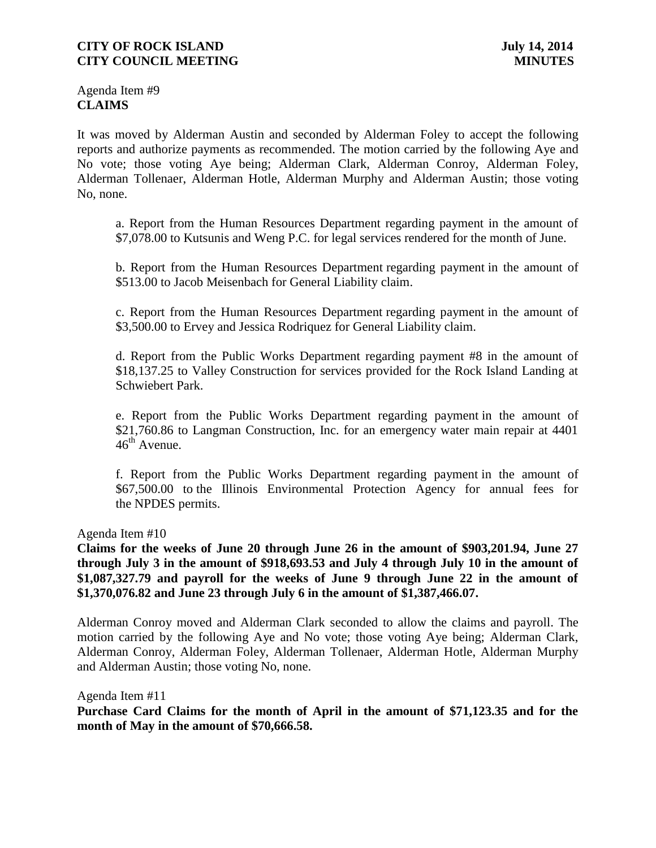Agenda Item #9 **CLAIMS**

It was moved by Alderman Austin and seconded by Alderman Foley to accept the following reports and authorize payments as recommended. The motion carried by the following Aye and No vote; those voting Aye being; Alderman Clark, Alderman Conroy, Alderman Foley, Alderman Tollenaer, Alderman Hotle, Alderman Murphy and Alderman Austin; those voting No, none.

a. Report from the Human Resources Department regarding payment in the amount of \$7,078.00 to Kutsunis and Weng P.C. for legal services rendered for the month of June.

b. Report from the Human Resources Department regarding payment in the amount of \$513.00 to Jacob Meisenbach for General Liability claim.

c. Report from the Human Resources Department regarding payment in the amount of \$3,500.00 to Ervey and Jessica Rodriquez for General Liability claim.

d. Report from the Public Works Department regarding payment #8 in the amount of \$18,137.25 to Valley Construction for services provided for the Rock Island Landing at Schwiebert Park.

e. Report from the Public Works Department regarding payment in the amount of \$21,760.86 to Langman Construction, Inc. for an emergency water main repair at 4401  $46^{\text{th}}$  Avenue.

f. Report from the Public Works Department regarding payment in the amount of \$67,500.00 to the Illinois Environmental Protection Agency for annual fees for the NPDES permits.

Agenda Item #10

**Claims for the weeks of June 20 through June 26 in the amount of \$903,201.94, June 27 through July 3 in the amount of \$918,693.53 and July 4 through July 10 in the amount of \$1,087,327.79 and payroll for the weeks of June 9 through June 22 in the amount of \$1,370,076.82 and June 23 through July 6 in the amount of \$1,387,466.07.**

Alderman Conroy moved and Alderman Clark seconded to allow the claims and payroll. The motion carried by the following Aye and No vote; those voting Aye being; Alderman Clark, Alderman Conroy, Alderman Foley, Alderman Tollenaer, Alderman Hotle, Alderman Murphy and Alderman Austin; those voting No, none.

Agenda Item #11

**Purchase Card Claims for the month of April in the amount of \$71,123.35 and for the month of May in the amount of \$70,666.58.**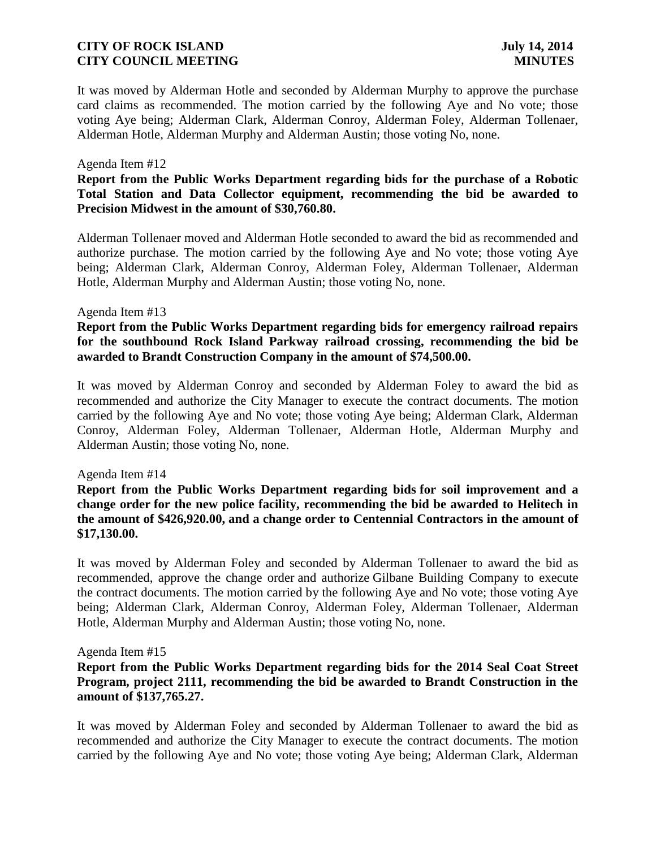It was moved by Alderman Hotle and seconded by Alderman Murphy to approve the purchase card claims as recommended. The motion carried by the following Aye and No vote; those voting Aye being; Alderman Clark, Alderman Conroy, Alderman Foley, Alderman Tollenaer, Alderman Hotle, Alderman Murphy and Alderman Austin; those voting No, none.

#### Agenda Item #12

## **Report from the Public Works Department regarding bids for the purchase of a Robotic Total Station and Data Collector equipment, recommending the bid be awarded to Precision Midwest in the amount of \$30,760.80.**

Alderman Tollenaer moved and Alderman Hotle seconded to award the bid as recommended and authorize purchase. The motion carried by the following Aye and No vote; those voting Aye being; Alderman Clark, Alderman Conroy, Alderman Foley, Alderman Tollenaer, Alderman Hotle, Alderman Murphy and Alderman Austin; those voting No, none.

#### Agenda Item #13

### **Report from the Public Works Department regarding bids for emergency railroad repairs for the southbound Rock Island Parkway railroad crossing, recommending the bid be awarded to Brandt Construction Company in the amount of \$74,500.00.**

It was moved by Alderman Conroy and seconded by Alderman Foley to award the bid as recommended and authorize the City Manager to execute the contract documents. The motion carried by the following Aye and No vote; those voting Aye being; Alderman Clark, Alderman Conroy, Alderman Foley, Alderman Tollenaer, Alderman Hotle, Alderman Murphy and Alderman Austin; those voting No, none.

#### Agenda Item #14

# **Report from the Public Works Department regarding bids for soil improvement and a change order for the new police facility, recommending the bid be awarded to Helitech in the amount of \$426,920.00, and a change order to Centennial Contractors in the amount of \$17,130.00.**

It was moved by Alderman Foley and seconded by Alderman Tollenaer to award the bid as recommended, approve the change order and authorize Gilbane Building Company to execute the contract documents. The motion carried by the following Aye and No vote; those voting Aye being; Alderman Clark, Alderman Conroy, Alderman Foley, Alderman Tollenaer, Alderman Hotle, Alderman Murphy and Alderman Austin; those voting No, none.

#### Agenda Item #15

### **Report from the Public Works Department regarding bids for the 2014 Seal Coat Street Program, project 2111, recommending the bid be awarded to Brandt Construction in the amount of \$137,765.27.**

It was moved by Alderman Foley and seconded by Alderman Tollenaer to award the bid as recommended and authorize the City Manager to execute the contract documents. The motion carried by the following Aye and No vote; those voting Aye being; Alderman Clark, Alderman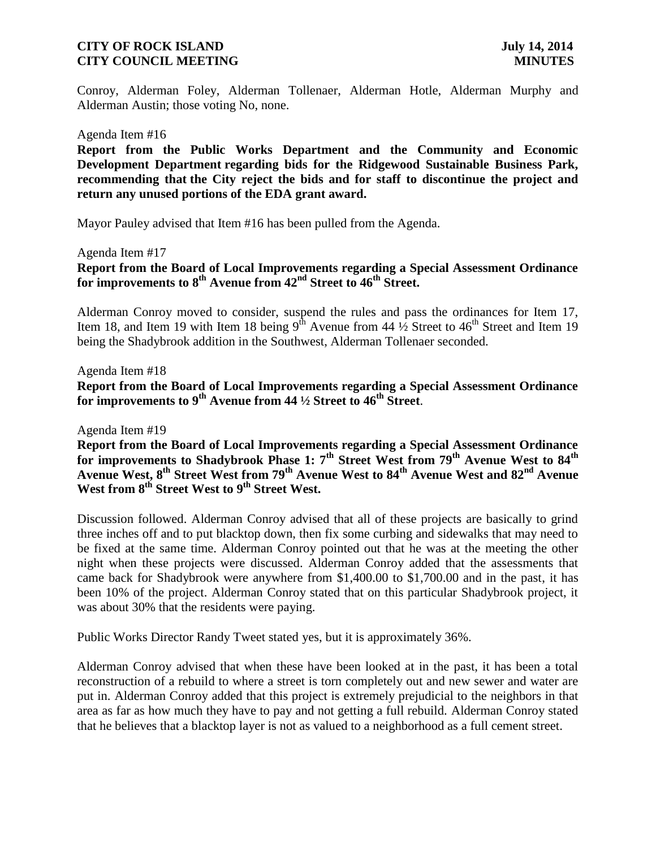Conroy, Alderman Foley, Alderman Tollenaer, Alderman Hotle, Alderman Murphy and Alderman Austin; those voting No, none.

#### Agenda Item #16

**Report from the Public Works Department and the Community and Economic Development Department regarding bids for the Ridgewood Sustainable Business Park, recommending that the City reject the bids and for staff to discontinue the project and return any unused portions of the EDA grant award.**

Mayor Pauley advised that Item #16 has been pulled from the Agenda.

Agenda Item #17

**Report from the Board of Local Improvements regarding a Special Assessment Ordinance for improvements to 8th Avenue from 42nd Street to 46th Street.**

Alderman Conroy moved to consider, suspend the rules and pass the ordinances for Item 17, Item 18, and Item 19 with Item 18 being  $9^{th}$  Avenue from 44  $\frac{1}{2}$  Street to 46<sup>th</sup> Street and Item 19 being the Shadybrook addition in the Southwest, Alderman Tollenaer seconded.

Agenda Item #18 **Report from the Board of Local Improvements regarding a Special Assessment Ordinance for improvements to 9th Avenue from 44 ½ Street to 46th Street**.

Agenda Item #19

**Report from the Board of Local Improvements regarding a Special Assessment Ordinance for improvements to Shadybrook Phase 1: 7th Street West from 79th Avenue West to 84th Avenue West, 8th Street West from 79th Avenue West to 84th Avenue West and 82nd Avenue West from 8th Street West to 9 th Street West.**

Discussion followed. Alderman Conroy advised that all of these projects are basically to grind three inches off and to put blacktop down, then fix some curbing and sidewalks that may need to be fixed at the same time. Alderman Conroy pointed out that he was at the meeting the other night when these projects were discussed. Alderman Conroy added that the assessments that came back for Shadybrook were anywhere from \$1,400.00 to \$1,700.00 and in the past, it has been 10% of the project. Alderman Conroy stated that on this particular Shadybrook project, it was about 30% that the residents were paying.

Public Works Director Randy Tweet stated yes, but it is approximately 36%.

Alderman Conroy advised that when these have been looked at in the past, it has been a total reconstruction of a rebuild to where a street is torn completely out and new sewer and water are put in. Alderman Conroy added that this project is extremely prejudicial to the neighbors in that area as far as how much they have to pay and not getting a full rebuild. Alderman Conroy stated that he believes that a blacktop layer is not as valued to a neighborhood as a full cement street.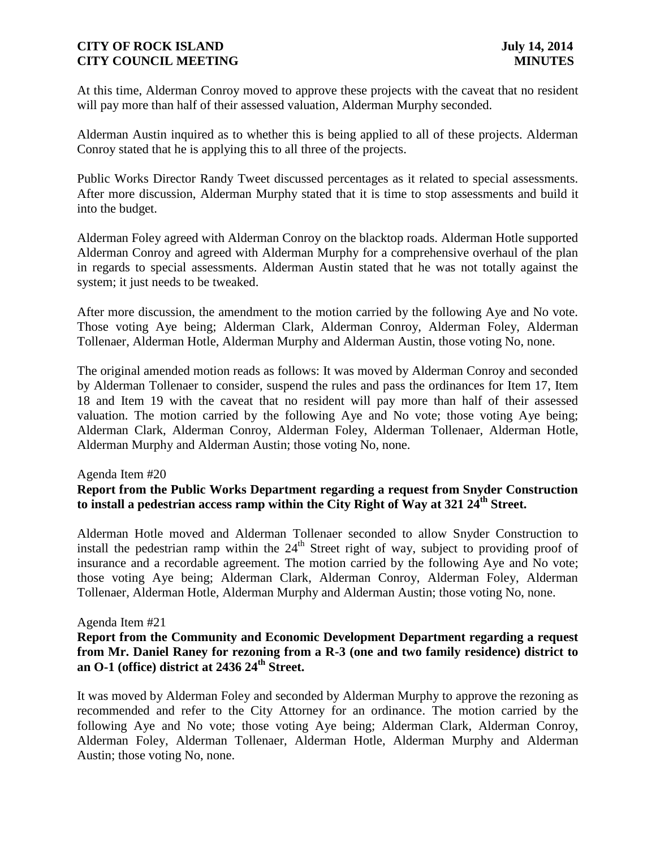At this time, Alderman Conroy moved to approve these projects with the caveat that no resident will pay more than half of their assessed valuation, Alderman Murphy seconded.

Alderman Austin inquired as to whether this is being applied to all of these projects. Alderman Conroy stated that he is applying this to all three of the projects.

Public Works Director Randy Tweet discussed percentages as it related to special assessments. After more discussion, Alderman Murphy stated that it is time to stop assessments and build it into the budget.

Alderman Foley agreed with Alderman Conroy on the blacktop roads. Alderman Hotle supported Alderman Conroy and agreed with Alderman Murphy for a comprehensive overhaul of the plan in regards to special assessments. Alderman Austin stated that he was not totally against the system; it just needs to be tweaked.

After more discussion, the amendment to the motion carried by the following Aye and No vote. Those voting Aye being; Alderman Clark, Alderman Conroy, Alderman Foley, Alderman Tollenaer, Alderman Hotle, Alderman Murphy and Alderman Austin, those voting No, none.

The original amended motion reads as follows: It was moved by Alderman Conroy and seconded by Alderman Tollenaer to consider, suspend the rules and pass the ordinances for Item 17, Item 18 and Item 19 with the caveat that no resident will pay more than half of their assessed valuation. The motion carried by the following Aye and No vote; those voting Aye being; Alderman Clark, Alderman Conroy, Alderman Foley, Alderman Tollenaer, Alderman Hotle, Alderman Murphy and Alderman Austin; those voting No, none.

#### Agenda Item #20

# **Report from the Public Works Department regarding a request from Snyder Construction to install a pedestrian access ramp within the City Right of Way at 321 24th Street.**

Alderman Hotle moved and Alderman Tollenaer seconded to allow Snyder Construction to install the pedestrian ramp within the  $24<sup>th</sup>$  Street right of way, subject to providing proof of insurance and a recordable agreement. The motion carried by the following Aye and No vote; those voting Aye being; Alderman Clark, Alderman Conroy, Alderman Foley, Alderman Tollenaer, Alderman Hotle, Alderman Murphy and Alderman Austin; those voting No, none.

#### Agenda Item #21

## **Report from the Community and Economic Development Department regarding a request from Mr. Daniel Raney for rezoning from a R-3 (one and two family residence) district to an O-1 (office) district at 2436 24th Street.**

It was moved by Alderman Foley and seconded by Alderman Murphy to approve the rezoning as recommended and refer to the City Attorney for an ordinance. The motion carried by the following Aye and No vote; those voting Aye being; Alderman Clark, Alderman Conroy, Alderman Foley, Alderman Tollenaer, Alderman Hotle, Alderman Murphy and Alderman Austin; those voting No, none.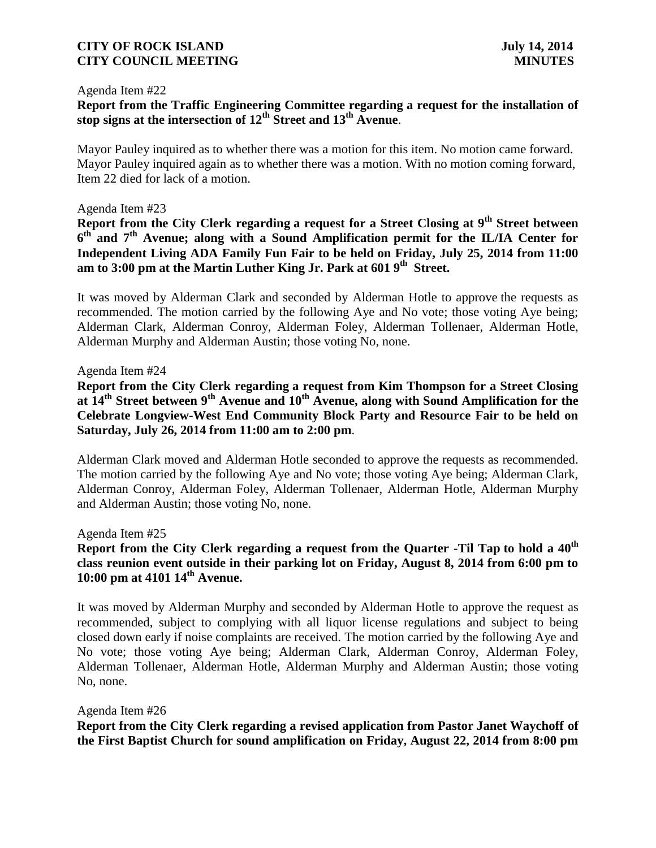#### Agenda Item #22

# **Report from the Traffic Engineering Committee regarding a request for the installation of stop signs at the intersection of 12th Street and 13th Avenue**.

Mayor Pauley inquired as to whether there was a motion for this item. No motion came forward. Mayor Pauley inquired again as to whether there was a motion. With no motion coming forward, Item 22 died for lack of a motion.

#### Agenda Item #23

**Report from the City Clerk regarding a request for a Street Closing at 9th Street between 6 th and 7th Avenue; along with a Sound Amplification permit for the IL/IA Center for Independent Living ADA Family Fun Fair to be held on Friday, July 25, 2014 from 11:00 am to 3:00 pm at the Martin Luther King Jr. Park at 601 9th Street.**

It was moved by Alderman Clark and seconded by Alderman Hotle to approve the requests as recommended. The motion carried by the following Aye and No vote; those voting Aye being; Alderman Clark, Alderman Conroy, Alderman Foley, Alderman Tollenaer, Alderman Hotle, Alderman Murphy and Alderman Austin; those voting No, none.

### Agenda Item #24

**Report from the City Clerk regarding a request from Kim Thompson for a Street Closing at 14th Street between 9th Avenue and 10th Avenue, along with Sound Amplification for the Celebrate Longview-West End Community Block Party and Resource Fair to be held on Saturday, July 26, 2014 from 11:00 am to 2:00 pm**.

Alderman Clark moved and Alderman Hotle seconded to approve the requests as recommended. The motion carried by the following Aye and No vote; those voting Aye being; Alderman Clark, Alderman Conroy, Alderman Foley, Alderman Tollenaer, Alderman Hotle, Alderman Murphy and Alderman Austin; those voting No, none.

#### Agenda Item #25

# **Report from the City Clerk regarding a request from the Quarter -Til Tap to hold a 40th class reunion event outside in their parking lot on Friday, August 8, 2014 from 6:00 pm to 10:00 pm at 4101 14th Avenue.**

It was moved by Alderman Murphy and seconded by Alderman Hotle to approve the request as recommended, subject to complying with all liquor license regulations and subject to being closed down early if noise complaints are received. The motion carried by the following Aye and No vote; those voting Aye being; Alderman Clark, Alderman Conroy, Alderman Foley, Alderman Tollenaer, Alderman Hotle, Alderman Murphy and Alderman Austin; those voting No, none.

#### Agenda Item #26

**Report from the City Clerk regarding a revised application from Pastor Janet Waychoff of the First Baptist Church for sound amplification on Friday, August 22, 2014 from 8:00 pm**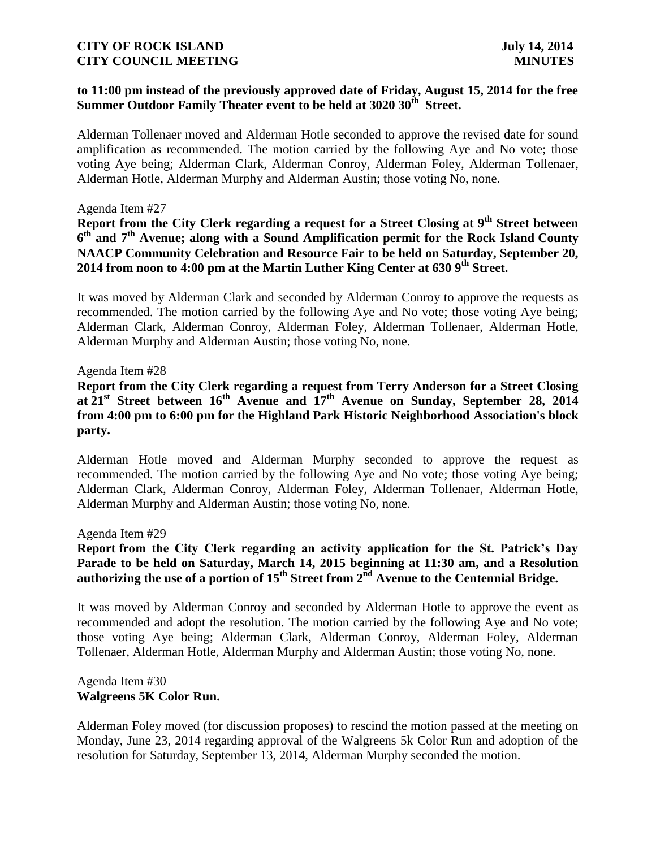# **to 11:00 pm instead of the previously approved date of Friday, August 15, 2014 for the free Summer Outdoor Family Theater event to be held at 3020 30th Street.**

Alderman Tollenaer moved and Alderman Hotle seconded to approve the revised date for sound amplification as recommended. The motion carried by the following Aye and No vote; those voting Aye being; Alderman Clark, Alderman Conroy, Alderman Foley, Alderman Tollenaer, Alderman Hotle, Alderman Murphy and Alderman Austin; those voting No, none.

#### Agenda Item #27

**Report from the City Clerk regarding a request for a Street Closing at 9th Street between 6 th and 7th Avenue; along with a Sound Amplification permit for the Rock Island County NAACP Community Celebration and Resource Fair to be held on Saturday, September 20, 2014 from noon to 4:00 pm at the Martin Luther King Center at 630 9th Street.**

It was moved by Alderman Clark and seconded by Alderman Conroy to approve the requests as recommended. The motion carried by the following Aye and No vote; those voting Aye being; Alderman Clark, Alderman Conroy, Alderman Foley, Alderman Tollenaer, Alderman Hotle, Alderman Murphy and Alderman Austin; those voting No, none.

### Agenda Item #28

# **Report from the City Clerk regarding a request from Terry Anderson for a Street Closing at 21st Street between 16th Avenue and 17th Avenue on Sunday, September 28, 2014 from 4:00 pm to 6:00 pm for the Highland Park Historic Neighborhood Association's block party.**

Alderman Hotle moved and Alderman Murphy seconded to approve the request as recommended. The motion carried by the following Aye and No vote; those voting Aye being; Alderman Clark, Alderman Conroy, Alderman Foley, Alderman Tollenaer, Alderman Hotle, Alderman Murphy and Alderman Austin; those voting No, none.

#### Agenda Item #29

# **Report from the City Clerk regarding an activity application for the St. Patrick's Day Parade to be held on Saturday, March 14, 2015 beginning at 11:30 am, and a Resolution authorizing the use of a portion of 15th Street from 2nd Avenue to the Centennial Bridge.**

It was moved by Alderman Conroy and seconded by Alderman Hotle to approve the event as recommended and adopt the resolution. The motion carried by the following Aye and No vote; those voting Aye being; Alderman Clark, Alderman Conroy, Alderman Foley, Alderman Tollenaer, Alderman Hotle, Alderman Murphy and Alderman Austin; those voting No, none.

### Agenda Item #30 **Walgreens 5K Color Run.**

Alderman Foley moved (for discussion proposes) to rescind the motion passed at the meeting on Monday, June 23, 2014 regarding approval of the Walgreens 5k Color Run and adoption of the resolution for Saturday, September 13, 2014, Alderman Murphy seconded the motion.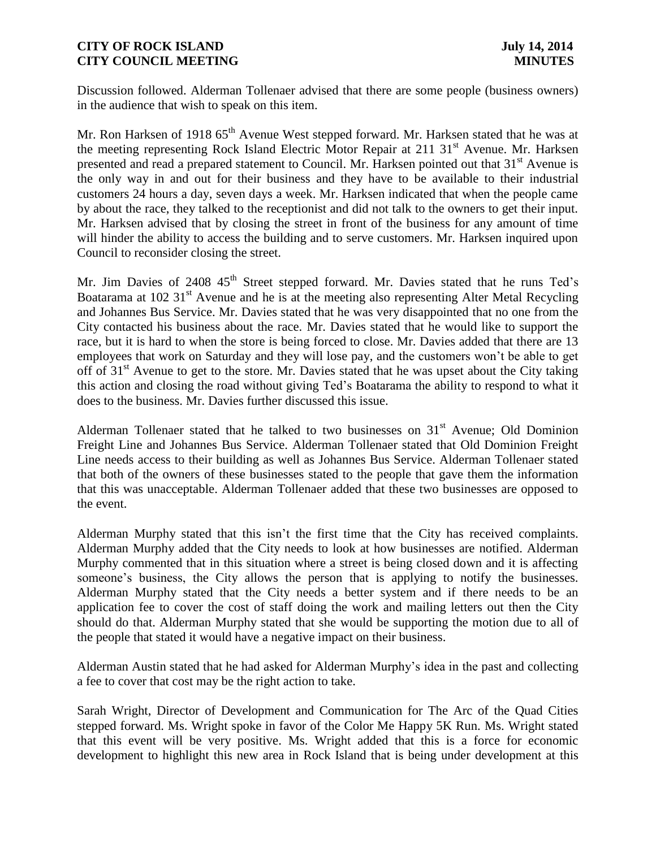Discussion followed. Alderman Tollenaer advised that there are some people (business owners) in the audience that wish to speak on this item.

Mr. Ron Harksen of 1918 65<sup>th</sup> Avenue West stepped forward. Mr. Harksen stated that he was at the meeting representing Rock Island Electric Motor Repair at 211 31<sup>st</sup> Avenue. Mr. Harksen presented and read a prepared statement to Council. Mr. Harksen pointed out that 31<sup>st</sup> Avenue is the only way in and out for their business and they have to be available to their industrial customers 24 hours a day, seven days a week. Mr. Harksen indicated that when the people came by about the race, they talked to the receptionist and did not talk to the owners to get their input. Mr. Harksen advised that by closing the street in front of the business for any amount of time will hinder the ability to access the building and to serve customers. Mr. Harksen inquired upon Council to reconsider closing the street.

Mr. Jim Davies of 2408 45<sup>th</sup> Street stepped forward. Mr. Davies stated that he runs Ted's Boatarama at 102 31<sup>st</sup> Avenue and he is at the meeting also representing Alter Metal Recycling and Johannes Bus Service. Mr. Davies stated that he was very disappointed that no one from the City contacted his business about the race. Mr. Davies stated that he would like to support the race, but it is hard to when the store is being forced to close. Mr. Davies added that there are 13 employees that work on Saturday and they will lose pay, and the customers won't be able to get off of 31<sup>st</sup> Avenue to get to the store. Mr. Davies stated that he was upset about the City taking this action and closing the road without giving Ted's Boatarama the ability to respond to what it does to the business. Mr. Davies further discussed this issue.

Alderman Tollenaer stated that he talked to two businesses on  $31<sup>st</sup>$  Avenue; Old Dominion Freight Line and Johannes Bus Service. Alderman Tollenaer stated that Old Dominion Freight Line needs access to their building as well as Johannes Bus Service. Alderman Tollenaer stated that both of the owners of these businesses stated to the people that gave them the information that this was unacceptable. Alderman Tollenaer added that these two businesses are opposed to the event.

Alderman Murphy stated that this isn't the first time that the City has received complaints. Alderman Murphy added that the City needs to look at how businesses are notified. Alderman Murphy commented that in this situation where a street is being closed down and it is affecting someone's business, the City allows the person that is applying to notify the businesses. Alderman Murphy stated that the City needs a better system and if there needs to be an application fee to cover the cost of staff doing the work and mailing letters out then the City should do that. Alderman Murphy stated that she would be supporting the motion due to all of the people that stated it would have a negative impact on their business.

Alderman Austin stated that he had asked for Alderman Murphy's idea in the past and collecting a fee to cover that cost may be the right action to take.

Sarah Wright, Director of Development and Communication for The Arc of the Quad Cities stepped forward. Ms. Wright spoke in favor of the Color Me Happy 5K Run. Ms. Wright stated that this event will be very positive. Ms. Wright added that this is a force for economic development to highlight this new area in Rock Island that is being under development at this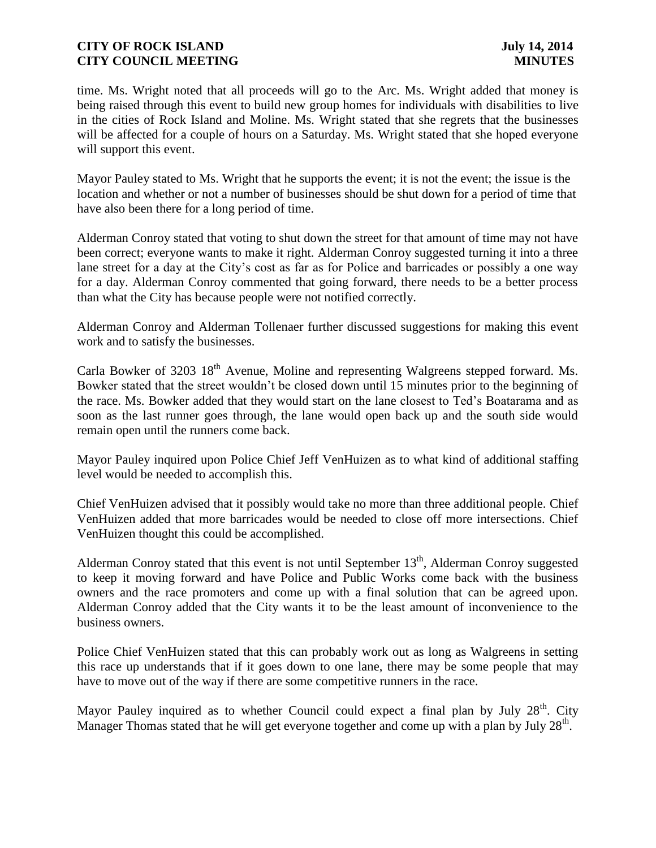time. Ms. Wright noted that all proceeds will go to the Arc. Ms. Wright added that money is being raised through this event to build new group homes for individuals with disabilities to live in the cities of Rock Island and Moline. Ms. Wright stated that she regrets that the businesses will be affected for a couple of hours on a Saturday. Ms. Wright stated that she hoped everyone will support this event.

Mayor Pauley stated to Ms. Wright that he supports the event; it is not the event; the issue is the location and whether or not a number of businesses should be shut down for a period of time that have also been there for a long period of time.

Alderman Conroy stated that voting to shut down the street for that amount of time may not have been correct; everyone wants to make it right. Alderman Conroy suggested turning it into a three lane street for a day at the City's cost as far as for Police and barricades or possibly a one way for a day. Alderman Conroy commented that going forward, there needs to be a better process than what the City has because people were not notified correctly.

Alderman Conroy and Alderman Tollenaer further discussed suggestions for making this event work and to satisfy the businesses.

Carla Bowker of 3203 18<sup>th</sup> Avenue, Moline and representing Walgreens stepped forward. Ms. Bowker stated that the street wouldn't be closed down until 15 minutes prior to the beginning of the race. Ms. Bowker added that they would start on the lane closest to Ted's Boatarama and as soon as the last runner goes through, the lane would open back up and the south side would remain open until the runners come back.

Mayor Pauley inquired upon Police Chief Jeff VenHuizen as to what kind of additional staffing level would be needed to accomplish this.

Chief VenHuizen advised that it possibly would take no more than three additional people. Chief VenHuizen added that more barricades would be needed to close off more intersections. Chief VenHuizen thought this could be accomplished.

Alderman Conroy stated that this event is not until September  $13<sup>th</sup>$ , Alderman Conroy suggested to keep it moving forward and have Police and Public Works come back with the business owners and the race promoters and come up with a final solution that can be agreed upon. Alderman Conroy added that the City wants it to be the least amount of inconvenience to the business owners.

Police Chief VenHuizen stated that this can probably work out as long as Walgreens in setting this race up understands that if it goes down to one lane, there may be some people that may have to move out of the way if there are some competitive runners in the race.

Mayor Pauley inquired as to whether Council could expect a final plan by July  $28<sup>th</sup>$ . City Manager Thomas stated that he will get everyone together and come up with a plan by July 28<sup>th</sup>.